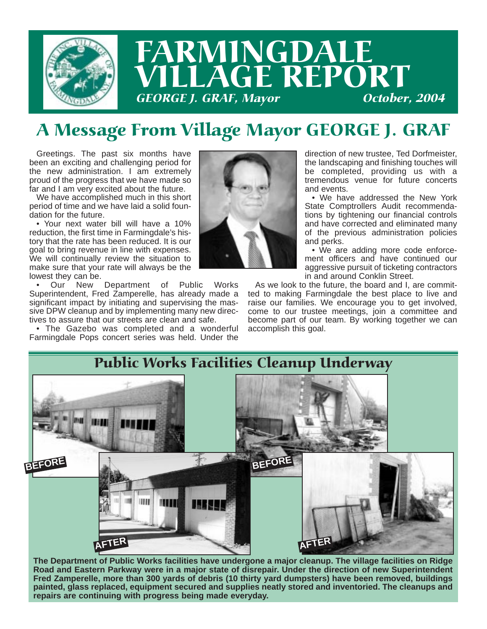

# FARMINGDALE LAGE REPORT **GEORGE J. GRAF, Mayor**

# A Message From Village Mayor GEORGE J. GRAF

Greetings. The past six months have been an exciting and challenging period for the new administration. I am extremely proud of the progress that we have made so far and I am very excited about the future.

We have accomplished much in this short period of time and we have laid a solid foundation for the future.

• Your next water bill will have a 10% reduction, the first time in Farmingdale's history that the rate has been reduced. It is our goal to bring revenue in line with expenses. We will continually review the situation to make sure that your rate will always be the lowest they can be.

• Our New Department of Public Works Superintendent, Fred Zamperelle, has already made a significant impact by initiating and supervising the massive DPW cleanup and by implementing many new directives to assure that our streets are clean and safe.

• The Gazebo was completed and a wonderful Farmingdale Pops concert series was held. Under the



direction of new trustee, Ted Dorfmeister, the landscaping and finishing touches will be completed, providing us with a tremendous venue for future concerts and events.

• We have addressed the New York State Comptrollers Audit recommendations by tightening our financial controls and have corrected and eliminated many of the previous administration policies and perks.

• We are adding more code enforcement officers and have continued our aggressive pursuit of ticketing contractors in and around Conklin Street.

As we look to the future, the board and I, are committed to making Farmingdale the best place to live and raise our families. We encourage you to get involved, come to our trustee meetings, join a committee and become part of our team. By working together we can accomplish this goal.



**The Department of Public Works facilities have undergone a major cleanup. The village facilities on Ridge Road and Eastern Parkway were in a major state of disrepair. Under the direction of new Superintendent Fred Zamperelle, more than 300 yards of debris (10 thirty yard dumpsters) have been removed, buildings painted, glass replaced, equipment secured and supplies neatly stored and inventoried. The cleanups and repairs are continuing with progress being made everyday.**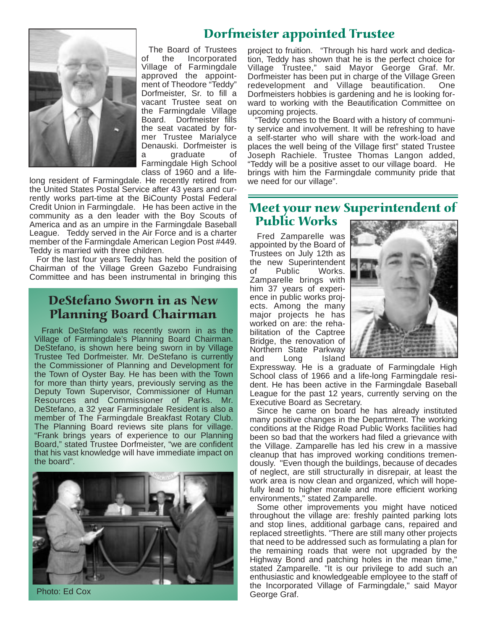### Dorfmeister appointed Trustee



The Board of Trustees of the Incorporated Village of Farmingdale approved the appointment of Theodore "Teddy" Dorfmeister, Sr. to fill a vacant Trustee seat on the Farmingdale Village Board. Dorfmeister fills the seat vacated by former Trustee Marialyce Denauski. Dorfmeister is a graduate of Farmingdale High School class of 1960 and a life-

long resident of Farmingdale. He recently retired from the United States Postal Service after 43 years and currently works part-time at the BiCounty Postal Federal Credit Union in Farmingdale. He has been active in the community as a den leader with the Boy Scouts of America and as an umpire in the Farmingdale Baseball League. Teddy served in the Air Force and is a charter member of the Farmingdale American Legion Post #449. Teddy is married with three children.

For the last four years Teddy has held the position of Chairman of the Village Green Gazebo Fundraising Committee and has been instrumental in bringing this

#### DeStefano Sworn in as New Planning Board Chairman

Frank DeStefano was recently sworn in as the Village of Farmingdale's Planning Board Chairman. DeStefano, is shown here being sworn in by Village Trustee Ted Dorfmeister. Mr. DeStefano is currently the Commissioner of Planning and Development for the Town of Oyster Bay. He has been with the Town for more than thirty years, previously serving as the Deputy Town Supervisor, Commissioner of Human Resources and Commissioner of Parks. Mr. DeStefano, a 32 year Farmingdale Resident is also a member of The Farmingdale Breakfast Rotary Club. The Planning Board reviews site plans for village. "Frank brings years of experience to our Planning Board," stated Trustee Dorfmeister, "we are confident that his vast knowledge will have immediate impact on the board".



Photo: Ed Cox

project to fruition. "Through his hard work and dedication, Teddy has shown that he is the perfect choice for Village Trustee," said Mayor George Graf. Mr. Dorfmeister has been put in charge of the Village Green redevelopment and Village beautification. One Dorfmeisters hobbies is gardening and he is looking forward to working with the Beautification Committee on upcoming projects.

"Teddy comes to the Board with a history of community service and involvement. It will be refreshing to have a self-starter who will share with the work-load and places the well being of the Village first" stated Trustee Joseph Rachiele. Trustee Thomas Langon added, "Teddy will be a positive asset to our village board. He brings with him the Farmingdale community pride that we need for our village".

#### Meet your new Superintendent of Public Works

Fred Zamparelle was appointed by the Board of Trustees on July 12th as the new Superintendent<br>of Public Works. of Public Works. Zamparelle brings with him 37 years of experience in public works projects. Among the many major projects he has worked on are: the rehabilitation of the Captree Bridge, the renovation of Northern State Parkway and Long Island



Expressway. He is a graduate of Farmingdale High School class of 1966 and a life-long Farmingdale resident. He has been active in the Farmingdale Baseball League for the past 12 years, currently serving on the Executive Board as Secretary.

Since he came on board he has already instituted many positive changes in the Department. The working conditions at the Ridge Road Public Works facilities had been so bad that the workers had filed a grievance with the Village. Zamparelle has led his crew in a massive cleanup that has improved working conditions tremendously. "Even though the buildings, because of decades of neglect, are still structurally in disrepair, at least the work area is now clean and organized, which will hopefully lead to higher morale and more efficient working environments," stated Zamparelle.

Some other improvements you might have noticed throughout the village are: freshly painted parking lots and stop lines, additional garbage cans, repaired and replaced streetlights. "There are still many other projects that need to be addressed such as formulating a plan for the remaining roads that were not upgraded by the Highway Bond and patching holes in the mean time," stated Zamparelle. "It is our privilege to add such an enthusiastic and knowledgeable employee to the staff of the Incorporated Village of Farmingdale," said Mayor George Graf.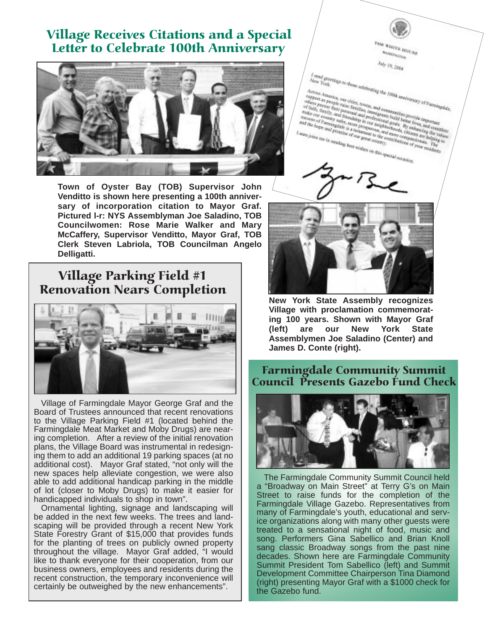### Village Receives Citations and a Special Letter to Celebrate 100th Anniversary



**Town of Oyster Bay (TOB) Supervisor John Venditto is shown here presenting a 100th anniversary of incorporation citation to Mayor Graf. Pictured l-r: NYS Assemblyman Joe Saladino, TOB Councilwomen: Rose Marie Walker and Mary McCaffery, Supervisor Venditto, Mayor Graf, TOB Clerk Steven Labriola, TOB Councilman Angelo Delligatti.**

### Village Parking Field #1 Renovation Nears Completion



Village of Farmingdale Mayor George Graf and the Board of Trustees announced that recent renovations to the Village Parking Field #1 (located behind the Farmingdale Meat Market and Moby Drugs) are nearing completion. After a review of the initial renovation plans, the Village Board was instrumental in redesigning them to add an additional 19 parking spaces (at no additional cost). Mayor Graf stated, "not only will the new spaces help alleviate congestion, we were also able to add additional handicap parking in the middle of lot (closer to Moby Drugs) to make it easier for handicapped individuals to shop in town".

Ornamental lighting, signage and landscaping will be added in the next few weeks. The trees and landscaping will be provided through a recent New York State Forestry Grant of \$15,000 that provides funds for the planting of trees on publicly owned property throughout the village. Mayor Graf added, "I would like to thank everyone for their cooperation, from our business owners, employees and residents during the recent construction, the temporary inconvenience will certainly be outweighed by the new enhancements".



**New York State Assembly recognizes Village with proclamation commemorating 100 years. Shown with Mayor Graf (left) are our New York State Assemblymen Joe Saladino (Center) and James D. Conte (right).**

#### Farmingdale Community Summit Council Presents Gazebo Fund Check



The Farmingdale Community Summit Council held a "Broadway on Main Street" at Terry G's on Main Street to raise funds for the completion of the Farmingdale Village Gazebo. Representatives from many of Farmingdale's youth, educational and service organizations along with many other guests were treated to a sensational night of food, music and song. Performers Gina Sabellico and Brian Knoll sang classic Broadway songs from the past nine decades. Shown here are Farmingdale Community Summit President Tom Sabellico (left) and Summit Development Committee Chairperson Tina Diamond (right) presenting Mayor Graf with a \$1000 check for the Gazebo fund.